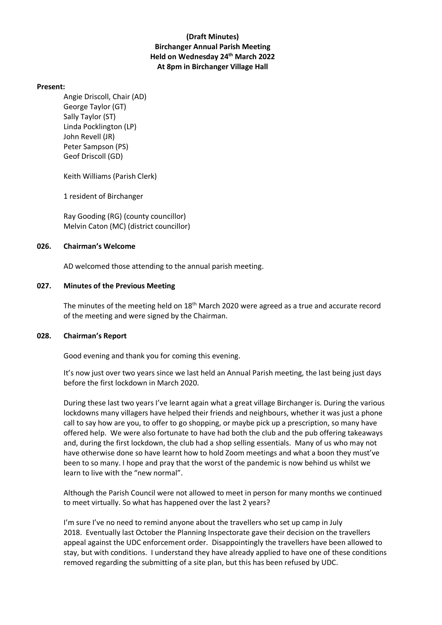## **(Draft Minutes) Birchanger Annual Parish Meeting Held on Wednesday 24th March 2022 At 8pm in Birchanger Village Hall**

### **Present:**

Angie Driscoll, Chair (AD) George Taylor (GT) Sally Taylor (ST) Linda Pocklington (LP) John Revell (JR) Peter Sampson (PS) Geof Driscoll (GD)

Keith Williams (Parish Clerk)

1 resident of Birchanger

Ray Gooding (RG) (county councillor) Melvin Caton (MC) (district councillor)

#### **026. Chairman's Welcome**

AD welcomed those attending to the annual parish meeting.

### **027. Minutes of the Previous Meeting**

The minutes of the meeting held on 18<sup>th</sup> March 2020 were agreed as a true and accurate record of the meeting and were signed by the Chairman.

#### **028. Chairman's Report**

Good evening and thank you for coming this evening.

It's now just over two years since we last held an Annual Parish meeting, the last being just days before the first lockdown in March 2020.

During these last two years I've learnt again what a great village Birchanger is. During the various lockdowns many villagers have helped their friends and neighbours, whether it was just a phone call to say how are you, to offer to go shopping, or maybe pick up a prescription, so many have offered help. We were also fortunate to have had both the club and the pub offering takeaways and, during the first lockdown, the club had a shop selling essentials. Many of us who may not have otherwise done so have learnt how to hold Zoom meetings and what a boon they must've been to so many. I hope and pray that the worst of the pandemic is now behind us whilst we learn to live with the "new normal".

Although the Parish Council were not allowed to meet in person for many months we continued to meet virtually. So what has happened over the last 2 years?

I'm sure I've no need to remind anyone about the travellers who set up camp in July 2018. Eventually last October the Planning Inspectorate gave their decision on the travellers appeal against the UDC enforcement order. Disappointingly the travellers have been allowed to stay, but with conditions. I understand they have already applied to have one of these conditions removed regarding the submitting of a site plan, but this has been refused by UDC.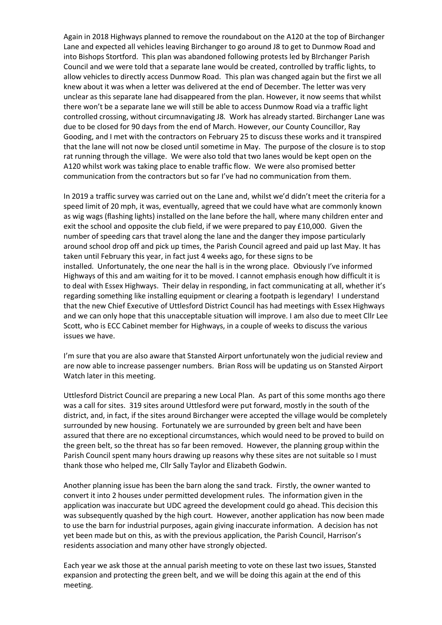Again in 2018 Highways planned to remove the roundabout on the A120 at the top of Birchanger Lane and expected all vehicles leaving Birchanger to go around J8 to get to Dunmow Road and into Bishops Stortford. This plan was abandoned following protests led by BIrchanger Parish Council and we were told that a separate lane would be created, controlled by traffic lights, to allow vehicles to directly access Dunmow Road. This plan was changed again but the first we all knew about it was when a letter was delivered at the end of December. The letter was very unclear as this separate lane had disappeared from the plan. However, it now seems that whilst there won't be a separate lane we will still be able to access Dunmow Road via a traffic light controlled crossing, without circumnavigating J8. Work has already started. Birchanger Lane was due to be closed for 90 days from the end of March. However, our County Councillor, Ray Gooding, and I met with the contractors on February 25 to discuss these works and it transpired that the lane will not now be closed until sometime in May. The purpose of the closure is to stop rat running through the village. We were also told that two lanes would be kept open on the A120 whilst work was taking place to enable traffic flow. We were also promised better communication from the contractors but so far I've had no communication from them.

In 2019 a traffic survey was carried out on the Lane and, whilst we'd didn't meet the criteria for a speed limit of 20 mph, it was, eventually, agreed that we could have what are commonly known as wig wags (flashing lights) installed on the lane before the hall, where many children enter and exit the school and opposite the club field, if we were prepared to pay £10,000. Given the number of speeding cars that travel along the lane and the danger they impose particularly around school drop off and pick up times, the Parish Council agreed and paid up last May. It has taken until February this year, in fact just 4 weeks ago, for these signs to be installed. Unfortunately, the one near the hall is in the wrong place. Obviously I've informed Highways of this and am waiting for it to be moved. I cannot emphasis enough how difficult it is to deal with Essex Highways. Their delay in responding, in fact communicating at all, whether it's regarding something like installing equipment or clearing a footpath is legendary! I understand that the new Chief Executive of Uttlesford District Council has had meetings with Essex Highways and we can only hope that this unacceptable situation will improve. I am also due to meet Cllr Lee Scott, who is ECC Cabinet member for Highways, in a couple of weeks to discuss the various issues we have.

I'm sure that you are also aware that Stansted Airport unfortunately won the judicial review and are now able to increase passenger numbers. Brian Ross will be updating us on Stansted Airport Watch later in this meeting.

Uttlesford District Council are preparing a new Local Plan. As part of this some months ago there was a call for sites. 319 sites around Uttlesford were put forward, mostly in the south of the district, and, in fact, if the sites around Birchanger were accepted the village would be completely surrounded by new housing. Fortunately we are surrounded by green belt and have been assured that there are no exceptional circumstances, which would need to be proved to build on the green belt, so the threat has so far been removed. However, the planning group within the Parish Council spent many hours drawing up reasons why these sites are not suitable so I must thank those who helped me, Cllr Sally Taylor and Elizabeth Godwin.

Another planning issue has been the barn along the sand track. Firstly, the owner wanted to convert it into 2 houses under permitted development rules. The information given in the application was inaccurate but UDC agreed the development could go ahead. This decision this was subsequently quashed by the high court. However, another application has now been made to use the barn for industrial purposes, again giving inaccurate information. A decision has not yet been made but on this, as with the previous application, the Parish Council, Harrison's residents association and many other have strongly objected.

Each year we ask those at the annual parish meeting to vote on these last two issues, Stansted expansion and protecting the green belt, and we will be doing this again at the end of this meeting.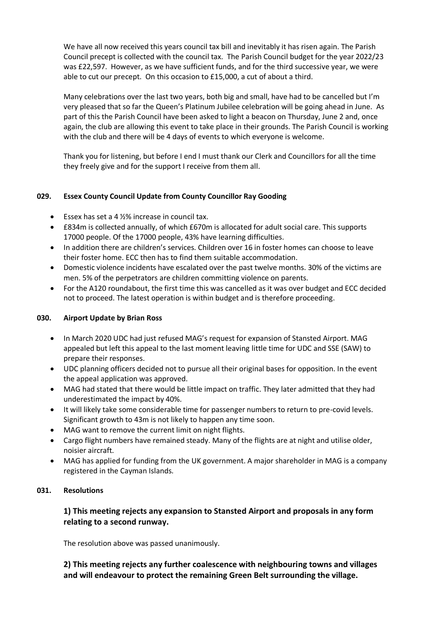We have all now received this years council tax bill and inevitably it has risen again. The Parish Council precept is collected with the council tax. The Parish Council budget for the year 2022/23 was £22,597. However, as we have sufficient funds, and for the third successive year, we were able to cut our precept. On this occasion to £15,000, a cut of about a third.

Many celebrations over the last two years, both big and small, have had to be cancelled but I'm very pleased that so far the Queen's Platinum Jubilee celebration will be going ahead in June. As part of this the Parish Council have been asked to light a beacon on Thursday, June 2 and, once again, the club are allowing this event to take place in their grounds. The Parish Council is working with the club and there will be 4 days of events to which everyone is welcome.

Thank you for listening, but before I end I must thank our Clerk and Councillors for all the time they freely give and for the support I receive from them all.

## **029. Essex County Council Update from County Councillor Ray Gooding**

- Essex has set a 4  $1/2$ % increase in council tax.
- £834m is collected annually, of which £670m is allocated for adult social care. This supports 17000 people. Of the 17000 people, 43% have learning difficulties.
- In addition there are children's services. Children over 16 in foster homes can choose to leave their foster home. ECC then has to find them suitable accommodation.
- Domestic violence incidents have escalated over the past twelve months. 30% of the victims are men. 5% of the perpetrators are children committing violence on parents.
- For the A120 roundabout, the first time this was cancelled as it was over budget and ECC decided not to proceed. The latest operation is within budget and is therefore proceeding.

### **030. Airport Update by Brian Ross**

- In March 2020 UDC had just refused MAG's request for expansion of Stansted Airport. MAG appealed but left this appeal to the last moment leaving little time for UDC and SSE (SAW) to prepare their responses.
- UDC planning officers decided not to pursue all their original bases for opposition. In the event the appeal application was approved.
- MAG had stated that there would be little impact on traffic. They later admitted that they had underestimated the impact by 40%.
- It will likely take some considerable time for passenger numbers to return to pre-covid levels. Significant growth to 43m is not likely to happen any time soon.
- MAG want to remove the current limit on night flights.
- Cargo flight numbers have remained steady. Many of the flights are at night and utilise older, noisier aircraft.
- MAG has applied for funding from the UK government. A major shareholder in MAG is a company registered in the Cayman Islands.

### **031. Resolutions**

# **1) This meeting rejects any expansion to Stansted Airport and proposals in any form relating to a second runway.**

The resolution above was passed unanimously.

**2) This meeting rejects any further coalescence with neighbouring towns and villages and will endeavour to protect the remaining Green Belt surrounding the village.**